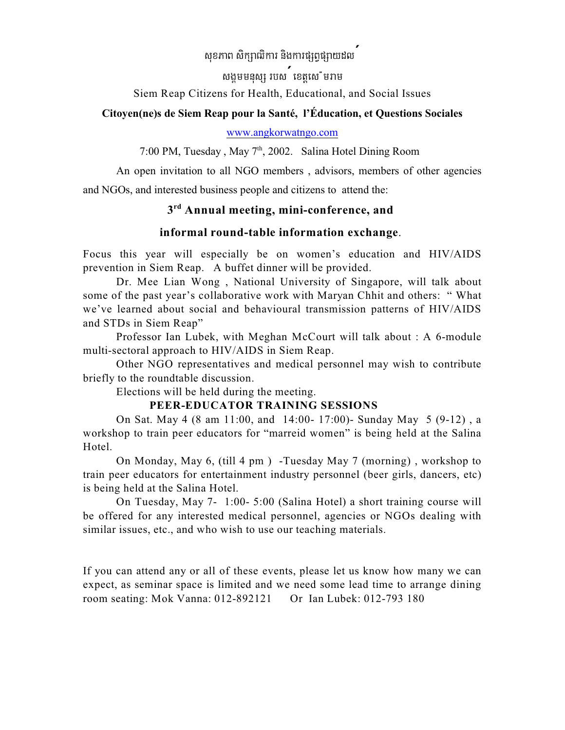# សុខភាព សិក្សាឍិការ និងការផ្សព្វផ្សាយដល<sup>់</sup>

សងមមនស្ស របស<sup>់</sup> ខេត្តសេ មរាម

Siem Reap Citizens for Health, Educational, and Social Issues

#### **Citoyen(ne)s de Siem Reap pour la Santé, l'Éducation, et Questions Sociales**

#### [www.angkorwatngo.com](http://www.angkorwatngo.com)

7:00 PM, Tuesday, May 7<sup>th</sup>, 2002. Salina Hotel Dining Room

An open invitation to all NGO members , advisors, members of other agencies

and NGOs, and interested business people and citizens to attend the:

# $3<sup>rd</sup>$  Annual meeting, mini-conference, and

## **informal round-table information exchange**.

Focus this year will especially be on women's education and HIV/AIDS prevention in Siem Reap. A buffet dinner will be provided.

Dr. Mee Lian Wong , National University of Singapore, will talk about some of the past year's collaborative work with Maryan Chhit and others: " What we've learned about social and behavioural transmission patterns of HIV/AIDS and STDs in Siem Reap"

Professor Ian Lubek, with Meghan McCourt will talk about : A 6-module multi-sectoral approach to HIV/AIDS in Siem Reap.

Other NGO representatives and medical personnel may wish to contribute briefly to the roundtable discussion.

Elections will be held during the meeting.

### **PEER-EDUCATOR TRAINING SESSIONS**

On Sat. May 4 (8 am 11:00, and 14:00- 17:00)- Sunday May 5 (9-12) , a workshop to train peer educators for "marreid women" is being held at the Salina Hotel.

On Monday, May 6, (till 4 pm ) -Tuesday May 7 (morning) , workshop to train peer educators for entertainment industry personnel (beer girls, dancers, etc) is being held at the Salina Hotel.

On Tuesday, May 7- 1:00- 5:00 (Salina Hotel) a short training course will be offered for any interested medical personnel, agencies or NGOs dealing with similar issues, etc., and who wish to use our teaching materials.

If you can attend any or all of these events, please let us know how many we can expect, as seminar space is limited and we need some lead time to arrange dining room seating: Mok Vanna: 012-892121 Or Ian Lubek: 012-793 180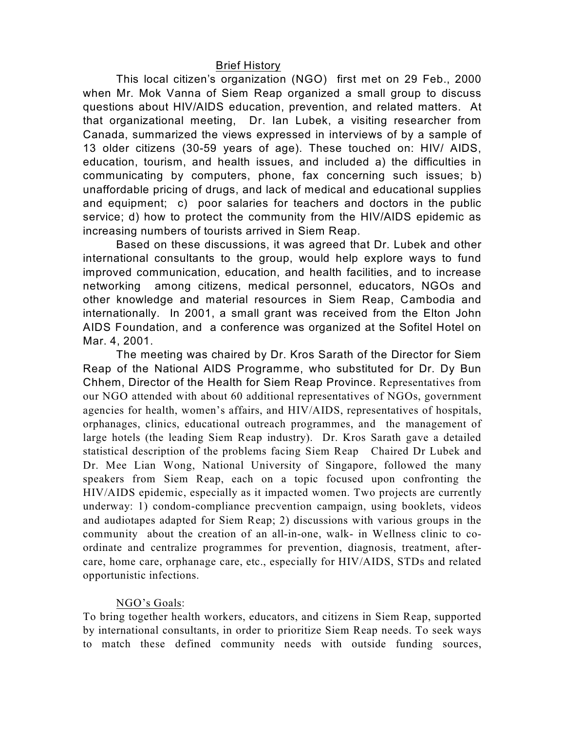#### Brief History

This local citizen's organization (NGO) first met on 29 Feb., 2000 when Mr. Mok Vanna of Siem Reap organized a small group to discuss questions about HIV/AIDS education, prevention, and related matters. At that organizational meeting, Dr. Ian Lubek, a visiting researcher from Canada, summarized the views expressed in interviews of by a sample of 13 older citizens (30-59 years of age). These touched on: HIV/ AIDS, education, tourism, and health issues, and included a) the difficulties in communicating by computers, phone, fax concerning such issues; b) unaffordable pricing of drugs, and lack of medical and educational supplies and equipment; c) poor salaries for teachers and doctors in the public service; d) how to protect the community from the HIV/AIDS epidemic as increasing numbers of tourists arrived in Siem Reap.

Based on these discussions, it was agreed that Dr. Lubek and other international consultants to the group, would help explore ways to fund improved communication, education, and health facilities, and to increase networking among citizens, medical personnel, educators, NGOs and other knowledge and material resources in Siem Reap, Cambodia and internationally. In 2001, a small grant was received from the Elton John AIDS Foundation, and a conference was organized at the Sofitel Hotel on Mar. 4, 2001.

The meeting was chaired by Dr. Kros Sarath of the Director for Siem Reap of the National AIDS Programme, who substituted for Dr. Dy Bun Chhem, Director of the Health for Siem Reap Province. Representatives from our NGO attended with about 60 additional representatives of NGOs, government agencies for health, women's affairs, and HIV/AIDS, representatives of hospitals, orphanages, clinics, educational outreach programmes, and the management of large hotels (the leading Siem Reap industry). Dr. Kros Sarath gave a detailed statistical description of the problems facing Siem Reap Chaired Dr Lubek and Dr. Mee Lian Wong, National University of Singapore, followed the many speakers from Siem Reap, each on a topic focused upon confronting the HIV/AIDS epidemic, especially as it impacted women. Two projects are currently underway: 1) condom-compliance precvention campaign, using booklets, videos and audiotapes adapted for Siem Reap; 2) discussions with various groups in the community about the creation of an all-in-one, walk- in Wellness clinic to coordinate and centralize programmes for prevention, diagnosis, treatment, aftercare, home care, orphanage care, etc., especially for HIV/AIDS, STDs and related opportunistic infections.

### NGO's Goals:

To bring together health workers, educators, and citizens in Siem Reap, supported by international consultants, in order to prioritize Siem Reap needs. To seek ways to match these defined community needs with outside funding sources,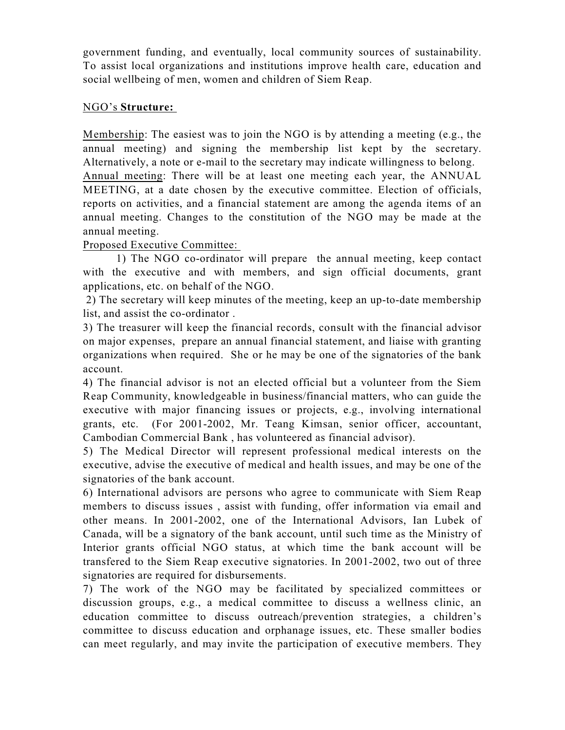government funding, and eventually, local community sources of sustainability. To assist local organizations and institutions improve health care, education and social wellbeing of men, women and children of Siem Reap.

### NGO's **Structure:**

Membership: The easiest was to join the NGO is by attending a meeting (e.g., the annual meeting) and signing the membership list kept by the secretary. Alternatively, a note or e-mail to the secretary may indicate willingness to belong. Annual meeting: There will be at least one meeting each year, the ANNUAL MEETING, at a date chosen by the executive committee. Election of officials, reports on activities, and a financial statement are among the agenda items of an annual meeting. Changes to the constitution of the NGO may be made at the annual meeting.

## Proposed Executive Committee:

1) The NGO co-ordinator will prepare the annual meeting, keep contact with the executive and with members, and sign official documents, grant applications, etc. on behalf of the NGO.

 2) The secretary will keep minutes of the meeting, keep an up-to-date membership list, and assist the co-ordinator .

3) The treasurer will keep the financial records, consult with the financial advisor on major expenses, prepare an annual financial statement, and liaise with granting organizations when required. She or he may be one of the signatories of the bank account.

4) The financial advisor is not an elected official but a volunteer from the Siem Reap Community, knowledgeable in business/financial matters, who can guide the executive with major financing issues or projects, e.g., involving international grants, etc. (For 2001-2002, Mr. Teang Kimsan, senior officer, accountant, Cambodian Commercial Bank , has volunteered as financial advisor).

5) The Medical Director will represent professional medical interests on the executive, advise the executive of medical and health issues, and may be one of the signatories of the bank account.

6) International advisors are persons who agree to communicate with Siem Reap members to discuss issues , assist with funding, offer information via email and other means. In 2001-2002, one of the International Advisors, Ian Lubek of Canada, will be a signatory of the bank account, until such time as the Ministry of Interior grants official NGO status, at which time the bank account will be transfered to the Siem Reap executive signatories. In 2001-2002, two out of three signatories are required for disbursements.

7) The work of the NGO may be facilitated by specialized committees or discussion groups, e.g., a medical committee to discuss a wellness clinic, an education committee to discuss outreach/prevention strategies, a children's committee to discuss education and orphanage issues, etc. These smaller bodies can meet regularly, and may invite the participation of executive members. They